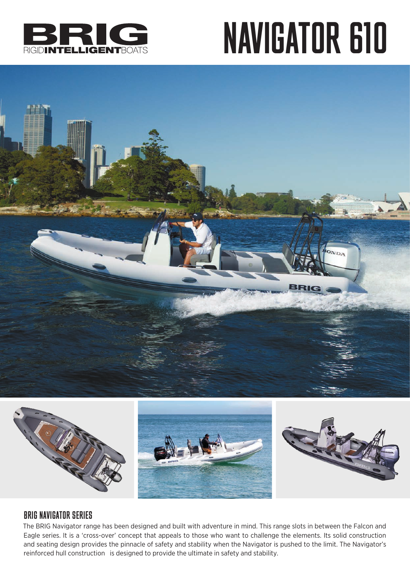

## NAVIGATOR 610





### BRIG NAVIGATOR SERIES

The BRIG Navigator range has been designed and built with adventure in mind. This range slots in between the Falcon and Eagle series. It is a 'cross-over' concept that appeals to those who want to challenge the elements. Its solid construction and seating design provides the pinnacle of safety and stability when the Navigator is pushed to the limit. The Navigator's reinforced hull construction is designed to provide the ultimate in safety and stability.